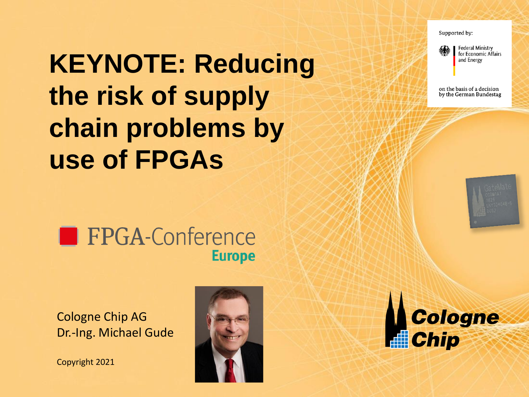Supported by:



on the basis of a decision by the German Bundestag

# **KEYNOTE: Reducing the risk of supply chain problems by use of FPGAs**



Cologne Chip AG Dr.-Ing. Michael Gude

Copyright 2021



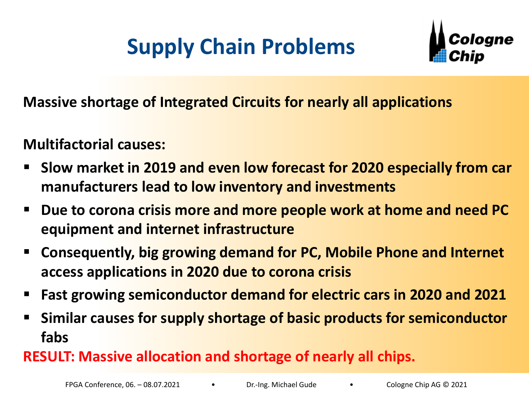## **Supply Chain Problems**



**Massive shortage of Integrated Circuits for nearly all applications**

#### **Multifactorial causes:**

- **Slow market in 2019 and even low forecast for 2020 especially from car manufacturers lead to low inventory and investments**
- Due to corona crisis more and more people work at home and need PC **equipment and internet infrastructure**
- **Consequently, big growing demand for PC, Mobile Phone and Internet access applications in 2020 due to corona crisis**
- **Fast growing semiconductor demand for electric cars in 2020 and 2021**
- **EXTE Similar causes for supply shortage of basic products for semiconductor fabs**

### **RESULT: Massive allocation and shortage of nearly all chips.**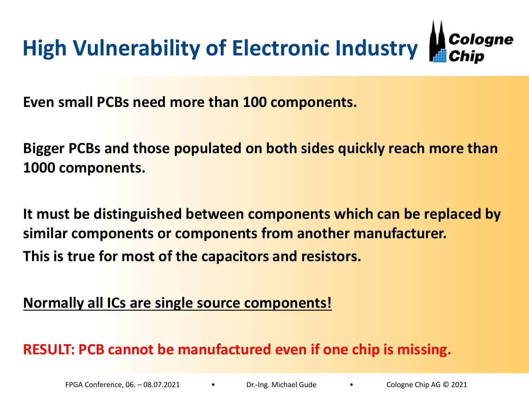

**Even small PCBs need more than 100 components.**

**Bigger PCBs and those populated on both sides quickly reach more than 1000 components.**

**It must be distinguished between components which can be replaced by similar components or components from another manufacturer. This is true for most of the capacitors and resistors.**

#### **Normally all ICs are single source components!**

**RESULT: PCB cannot be manufactured even if one chip is missing.**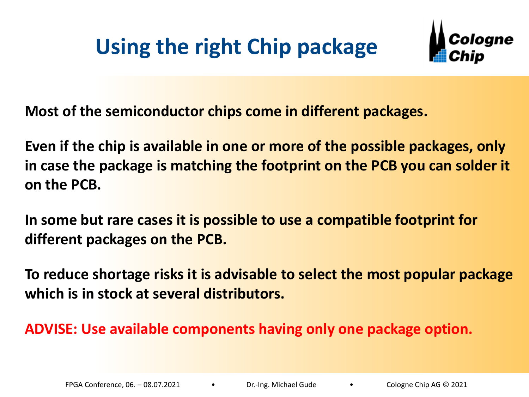## **Using the right Chip package**



**Most of the semiconductor chips come in different packages.**

**Even if the chip is available in one or more of the possible packages, only in case the package is matching the footprint on the PCB you can solder it on the PCB.** 

**In some but rare cases it is possible to use a compatible footprint for different packages on the PCB.**

**To reduce shortage risks it is advisable to select the most popular package which is in stock at several distributors.**

**ADVISE: Use available components having only one package option.**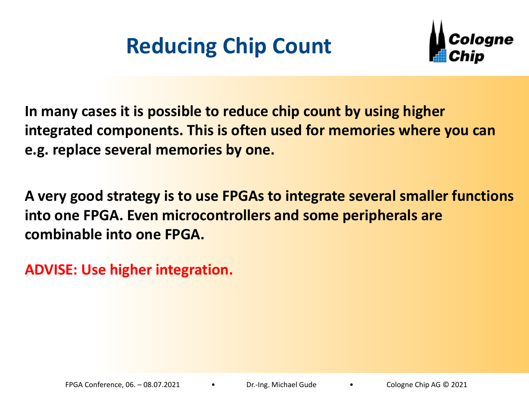## **Reducing Chip Count**



**In many cases it is possible to reduce chip count by using higher integrated components. This is often used for memories where you can e.g. replace several memories by one.**

**A very good strategy is to use FPGAs to integrate several smaller functions into one FPGA. Even microcontrollers and some peripherals are combinable into one FPGA.**

**ADVISE: Use higher integration.**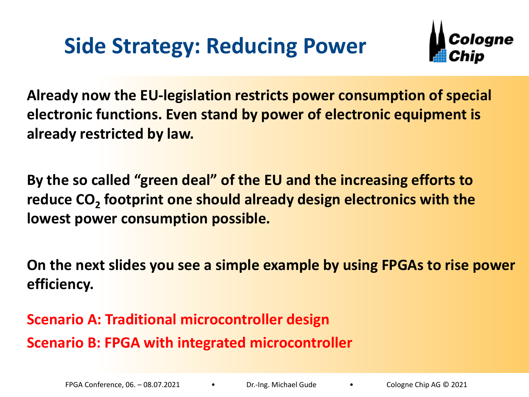### **Side Strategy: Reducing Power**



**Already now the EU-legislation restricts power consumption of special electronic functions. Even stand by power of electronic equipment is already restricted by law.**

**By the so called "green deal" of the EU and the increasing efforts to reduce CO<sup>2</sup> footprint one should already design electronics with the lowest power consumption possible.**

**On the next slides you see a simple example by using FPGAs to rise power efficiency.**

**Scenario A: Traditional microcontroller design Scenario B: FPGA with integrated microcontroller**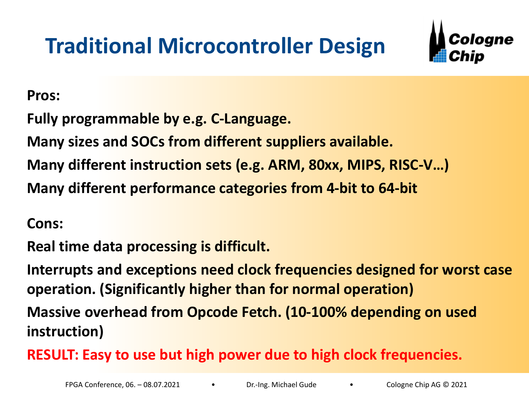## **Traditional Microcontroller Design**



**Pros:**

**Fully programmable by e.g. C-Language.**

**Many sizes and SOCs from different suppliers available.** 

**Many different instruction sets (e.g. ARM, 80xx, MIPS, RISC-V…)**

**Many different performance categories from 4-bit to 64-bit**

**Cons:**

**Real time data processing is difficult.**

**Interrupts and exceptions need clock frequencies designed for worst case operation. (Significantly higher than for normal operation)** 

**Massive overhead from Opcode Fetch. (10-100% depending on used instruction)**

**RESULT: Easy to use but high power due to high clock frequencies.**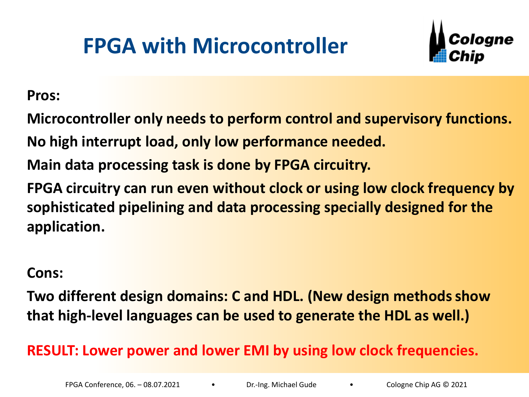## **FPGA with Microcontroller**



**Pros:**

**Microcontroller only needs to perform control and supervisory functions.**

**No high interrupt load, only low performance needed.**

**Main data processing task is done by FPGA circuitry.**

**FPGA circuitry can run even without clock or using low clock frequency by sophisticated pipelining and data processing specially designed for the application.** 

#### **Cons:**

**Two different design domains: C and HDL. (New design methods show that high-level languages can be used to generate the HDL as well.)**

#### **RESULT: Lower power and lower EMI by using low clock frequencies.**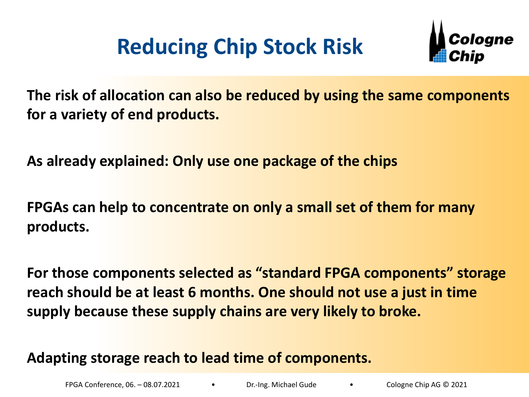## **Reducing Chip Stock Risk**



**The risk of allocation can also be reduced by using the same components for a variety of end products.**

**As already explained: Only use one package of the chips**

**FPGAs can help to concentrate on only a small set of them for many products.**

**For those components selected as "standard FPGA components" storage reach should be at least 6 months. One should not use a just in time supply because these supply chains are very likely to broke.**

**Adapting storage reach to lead time of components.**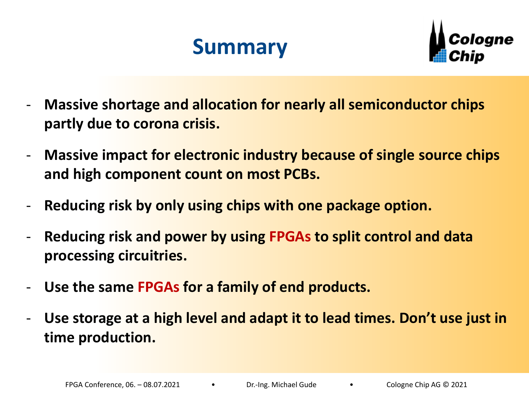### **Summary**



- **Massive shortage and allocation for nearly all semiconductor chips partly due to corona crisis.**
- **Massive impact for electronic industry because of single source chips and high component count on most PCBs.**
- Reducing risk by only using chips with one package option.
- **Reducing risk and power by using FPGAs to split control and data processing circuitries.**
- **Use the same FPGAs for a family of end products.**
- Use storage at a high level and adapt it to lead times. Don't use just in **time production.**